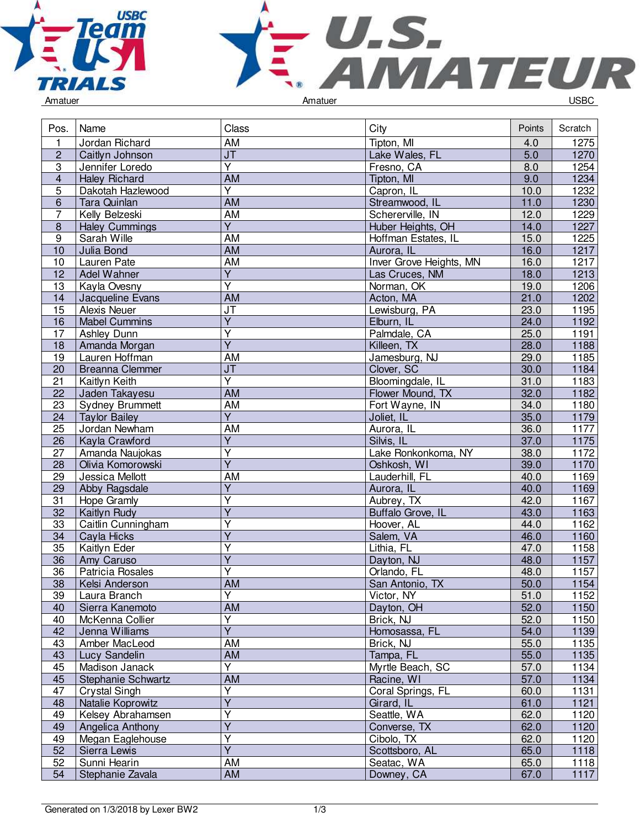



|  | Amatuer |  |
|--|---------|--|
|  |         |  |

| Pos.             | Name                   | Class                             | City                    | Points | Scratch           |
|------------------|------------------------|-----------------------------------|-------------------------|--------|-------------------|
| 1                | Jordan Richard         | AM                                | Tipton, MI              | 4.0    | 1275              |
| $\overline{2}$   | Caitlyn Johnson        | JT                                | Lake Wales, FL          | 5.0    | 1270              |
| $\overline{3}$   | Jennifer Loredo        | $\overline{\mathsf{Y}}$           | Fresno, CA              | 8.0    | 1254              |
| $\overline{4}$   | <b>Haley Richard</b>   | AM                                | Tipton, MI              | 9.0    | 1234              |
| $\overline{5}$   | Dakotah Hazlewood      | $\overline{\mathsf{Y}}$           | Capron, IL              | 10.0   | 1232              |
| $6\phantom{1}$   | Tara Quinlan           | <b>AM</b>                         | Streamwood, IL          | 11.0   | 1230              |
| $\overline{7}$   | Kelly Belzeski         | <b>AM</b>                         | Schererville, IN        | 12.0   | 1229              |
| $\bf 8$          | <b>Haley Cummings</b>  | $\overline{Y}$                    | Huber Heights, OH       | 14.0   | 1227              |
| $\boldsymbol{9}$ | Sarah Wille            | AM                                | Hoffman Estates, IL     | 15.0   | 1225              |
| 10               | Julia Bond             | <b>AM</b>                         | Aurora, IL              | 16.0   | $1217$            |
| 10               | Lauren Pate            | <b>AM</b>                         | Inver Grove Heights, MN | 16.0   | 1217              |
| 12               | Adel Wahner            | $\overline{Y}$                    | Las Cruces, NM          | 18.0   | 1213              |
| 13               | Kayla Ovesny           | $\overline{\mathsf{Y}}$           | Norman, OK              | 19.0   | 1206              |
| 14               | Jacqueline Evans       | AM                                | Acton, MA               | 21.0   | 1202              |
| $\overline{15}$  | Alexis Neuer           | $\overline{\mathsf{J}\mathsf{T}}$ | Lewisburg, PA           | 23.0   | 1195              |
| 16               | <b>Mabel Cummins</b>   | $\overline{\mathsf{Y}}$           | Elburn, IL              | 24.0   | 1192              |
| 17               | <b>Ashley Dunn</b>     | $\overline{Y}$                    | Palmdale, CA            | 25.0   | 1191              |
| 18               | Amanda Morgan          | $\overline{Y}$                    | Killeen, TX             | 28.0   | 1188              |
| 19               | Lauren Hoffman         | AM                                | Jamesburg, NJ           | 29.0   | 1185              |
| 20               | <b>Breanna Clemmer</b> | J <sub>T</sub>                    | Clover, SC              | 30.0   | 1184              |
| 21               | Kaitlyn Keith          | $\overline{\mathsf{Y}}$           | Bloomingdale, IL        | 31.0   | $\overline{1183}$ |
| 22               | Jaden Takayesu         | <b>AM</b>                         | Flower Mound, TX        | 32.0   | 1182              |
| 23               | <b>Sydney Brummett</b> | <b>AM</b>                         | Fort Wayne, IN          | 34.0   | 1180              |
| 24               | <b>Taylor Bailey</b>   | $\overline{Y}$                    | Joliet, IL              | 35.0   | 1179              |
| 25               | Jordan Newham          | AM                                | Aurora, IL              | 36.0   | 1177              |
| 26               | Kayla Crawford         | $\overline{Y}$                    | Silvis, IL              | 37.0   | 1175              |
| 27               | Amanda Naujokas        | $\overline{\mathsf{Y}}$           | Lake Ronkonkoma, NY     | 38.0   | 1172              |
| 28               | Olivia Komorowski      | $\overline{Y}$                    | Oshkosh, WI             | 39.0   | 1170              |
| 29               | Jessica Mellott        | AM                                | Lauderhill, FL          | 40.0   | 1169              |
| 29               | Abby Ragsdale          | $\overline{Y}$                    | Aurora, IL              | 40.0   | 1169              |
| 31               | Hope Gramly            | $\overline{\mathsf{Y}}$           | Aubrey, TX              | 42.0   | 1167              |
| 32               | Kaitlyn Rudy           | $\overline{\mathsf{Y}}$           | Buffalo Grove, IL       | 43.0   | 1163              |
| 33               | Caitlin Cunningham     | Ÿ                                 | Hoover, AL              | 44.0   | 1162              |
| 34               | Cayla Hicks            | $\overline{\mathsf{Y}}$           | Salem, VA               | 46.0   | 1160              |
| 35               | Kaitlyn Eder           | Ÿ                                 | Lithia, FL              | 47.0   | 1158              |
| 36               | Amy Caruso             | $\overline{\mathsf{Y}}$           | Dayton, NJ              | 48.0   | 1157              |
| 36               | Patricia Rosales       | Ÿ                                 | Orlando, FL             | 48.0   | 1157              |
| 38               | Kelsi Anderson         | <b>AM</b>                         | San Antonio, TX         | 50.0   | 1154              |
| 39               | Laura Branch           | Y                                 | Victor, NY              | 51.0   | 1152              |
| 40               | Sierra Kanemoto        | AM                                | Dayton, OH              | 52.0   | 1150              |
| 40               | McKenna Collier        | Ÿ                                 | Brick, NJ               | 52.0   | 1150              |
| 42               | Jenna Williams         | $\overline{Y}$                    | Homosassa, FL           | 54.0   | 1139              |
| 43               | Amber MacLeod          | AM                                | Brick, NJ               | 55.0   | 1135              |
| 43               | Lucy Sandelin          | AM                                | Tampa, FL               | 55.0   | 1135              |
| 45               | Madison Janack         | Y                                 | Myrtle Beach, SC        | 57.0   | 1134              |
| 45               | Stephanie Schwartz     | AM                                | Racine, WI              | 57.0   | 1134              |
| 47               | <b>Crystal Singh</b>   | $\overline{\mathsf{Y}}$           | Coral Springs, FL       | 60.0   | 1131              |
| 48               | Natalie Koprowitz      | $\overline{Y}$                    | Girard, IL              | 61.0   | 1121              |
| 49               | Kelsey Abrahamsen      | Υ                                 | Seattle, WA             | 62.0   | 1120              |
| 49               | Angelica Anthony       | $\overline{Y}$                    | Converse, TX            | 62.0   | 1120              |
| 49               | Megan Eaglehouse       | $\overline{Y}$                    | Cibolo, TX              | 62.0   | 1120              |
| 52               | Sierra Lewis           | $\overline{\mathsf{Y}}$           | Scottsboro, AL          | 65.0   | 1118              |
| 52               | Sunni Hearin           | AM                                | Seatac, WA              | 65.0   | 1118              |
| 54               | Stephanie Zavala       | <b>AM</b>                         | Downey, CA              | 67.0   | 1117              |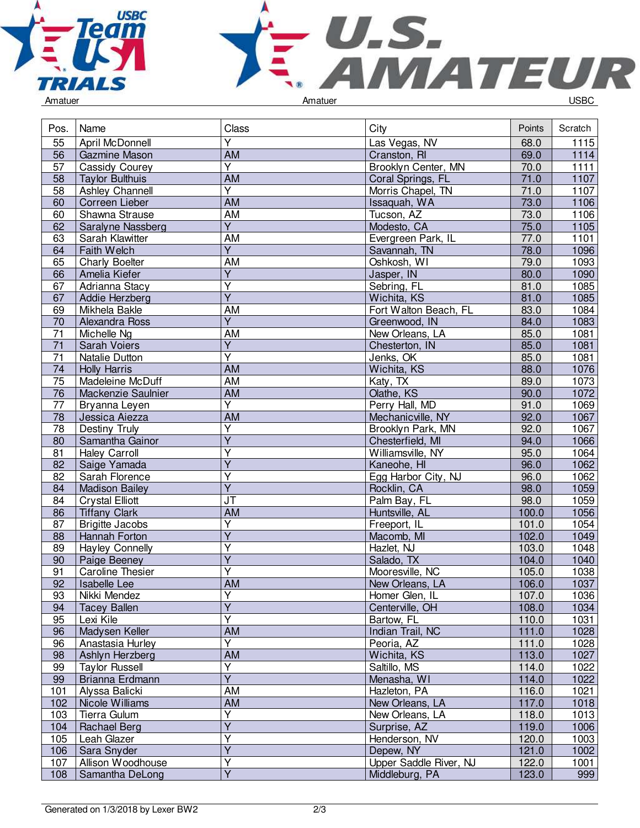



|  | Amatuer |
|--|---------|
|  |         |

| Pos.            | Name                    | Class                             | City                   | Points | Scratch |
|-----------------|-------------------------|-----------------------------------|------------------------|--------|---------|
| 55              | April McDonnell         | Ÿ                                 | Las Vegas, NV          | 68.0   | 1115    |
| 56              | <b>Gazmine Mason</b>    | <b>AM</b>                         | Cranston, RI           | 69.0   | 1114    |
| 57              | Cassidy Courey          | $\overline{Y}$                    | Brooklyn Center, MN    | 70.0   | $1111$  |
| 58              | <b>Taylor Bulthuis</b>  | $\overline{AM}$                   | Coral Springs, FL      | 71.0   | 1107    |
| 58              | Ashley Channell         | $\overline{\mathsf{Y}}$           | Morris Chapel, TN      | 71.0   | 1107    |
| 60              | Correen Lieber          | $\overline{AM}$                   | Issaquah, WA           | 73.0   | 1106    |
| 60              | Shawna Strause          | <b>AM</b>                         | Tucson, AZ             | 73.0   | 1106    |
| 62              | Saralyne Nassberg       | $\overline{Y}$                    | Modesto, CA            | 75.0   | 1105    |
| 63              | Sarah Klawitter         | AM                                | Evergreen Park, IL     | 77.0   | 1101    |
| 64              | Faith Welch             | $\overline{Y}$                    | Savannah, TN           | 78.0   | 1096    |
| 65              | Charly Boelter          | <b>AM</b>                         | Oshkosh, WI            | 79.0   | 1093    |
| 66              | Amelia Kiefer           | $\overline{Y}$                    | Jasper, IN             | 80.0   | 1090    |
| 67              | Adrianna Stacy          | $\overline{\mathsf{Y}}$           | Sebring, FL            | 81.0   | 1085    |
| 67              | Addie Herzberg          | $\overline{\mathsf{Y}}$           | Wichita, KS            | 81.0   | 1085    |
| 69              | Mikhela Bakle           | <b>AM</b>                         | Fort Walton Beach, FL  | 83.0   | 1084    |
| 70              | Alexandra Ross          | $\overline{\mathsf{Y}}$           | Greenwood, IN          | 84.0   | 1083    |
| $\overline{71}$ | Michelle Ng             | <b>AM</b>                         | New Orleans, LA        | 85.0   | 1081    |
| 71              | Sarah Voiers            | $\overline{Y}$                    | Chesterton, IN         | 85.0   | 1081    |
| $\overline{71}$ | Natalie Dutton          | $\overline{\mathsf{Y}}$           | Jenks, OK              | 85.0   | 1081    |
| 74              | <b>Holly Harris</b>     | AM                                | Wichita, KS            | 88.0   | 1076    |
| 75              | Madeleine McDuff        | AM                                | Katy, TX               | 89.0   | 1073    |
| 76              | Mackenzie Saulnier      | <b>AM</b>                         | Olathe, KS             | 90.0   | 1072    |
| 77              | Bryanna Leyen           | $\overline{Y}$                    | Perry Hall, MD         | 91.0   | 1069    |
| 78              | Jessica Aiezza          | $\overline{AM}$                   | Mechanicville, NY      | 92.0   | 1067    |
| 78              | Destiny Truly           | $\overline{Y}$                    | Brooklyn Park, MN      | 92.0   | 1067    |
| 80              | Samantha Gainor         | $\overline{Y}$                    | Chesterfield, MI       | 94.0   | 1066    |
| 81              | <b>Haley Carroll</b>    | $\overline{\mathsf{Y}}$           | Williamsville, NY      | 95.0   | 1064    |
| 82              | Saige Yamada            | $\overline{Y}$                    | Kaneohe, HI            | 96.0   | 1062    |
| 82              | Sarah Florence          | Υ                                 | Egg Harbor City, NJ    | 96.0   | 1062    |
| 84              | <b>Madison Bailey</b>   | $\overline{Y}$                    | Rocklin, CA            | 98.0   | 1059    |
| 84              | <b>Crystal Elliott</b>  | $\overline{\mathsf{J}\mathsf{T}}$ | Palm Bay, FL           | 98.0   | 1059    |
| 86              | <b>Tiffany Clark</b>    | <b>AM</b>                         | Huntsville, AL         | 100.0  | 1056    |
| 87              | <b>Brigitte Jacobs</b>  | $\overline{\mathsf{Y}}$           | Freeport, IL           | 101.0  | 1054    |
| 88              | Hannah Forton           | $\overline{\mathsf{Y}}$           | Macomb, MI             | 102.0  | 1049    |
| 89              | <b>Hayley Connelly</b>  | Ϋ                                 | Hazlet, NJ             | 103.0  | 1048    |
| 90              | Paige Beeney            | $\overline{Y}$                    | Salado, TX             | 104.0  | 1040    |
| 91              | <b>Caroline Thesier</b> | $\overline{\mathsf{Y}}$           | Mooresville, NC        | 105.0  | 1038    |
| 92              | Isabelle Lee            | AM                                | New Orleans, LA        | 106.0  | 1037    |
| 93              | Nikki Mendez            | Y                                 | Homer Glen, IL         | 107.0  | 1036    |
| 94              | <b>Tacey Ballen</b>     | $\overline{\mathsf{Y}}$           | Centerville, OH        | 108.0  | 1034    |
| 95              | Lexi Kile               | Ÿ                                 | Bartow, FL             | 110.0  | 1031    |
| 96              | Madysen Keller          | <b>AM</b>                         | Indian Trail, NC       | 111.0  | 1028    |
| 96              | Anastasia Hurley        | Y                                 | Peoria, AZ             | 111.0  | 1028    |
| 98              | Ashlyn Herzberg         | <b>AM</b>                         | Wichita, KS            | 113.0  | 1027    |
| 99              | <b>Taylor Russell</b>   | Y                                 | Saltillo, MS           | 114.0  | 1022    |
| 99              | Brianna Erdmann         | $\overline{\mathsf{Y}}$           | Menasha, WI            | 114.0  | 1022    |
| 101             | Alyssa Balicki          | AM                                | Hazleton, PA           | 116.0  | 1021    |
| 102             | Nicole Williams         | AM                                | New Orleans, LA        | 117.0  | 1018    |
| 103             | Tierra Gulum            | Υ                                 | New Orleans, LA        | 118.0  | 1013    |
| 104             | Rachael Berg            | Y                                 | Surprise, AZ           | 119.0  | 1006    |
| 105             | Leah Glazer             | Ÿ                                 | Henderson, NV          | 120.0  | 1003    |
| 106             | Sara Snyder             | $\overline{\mathsf{Y}}$           | Depew, NY              | 121.0  | 1002    |
| 107             | Allison Woodhouse       | Y                                 | Upper Saddle River, NJ | 122.0  | 1001    |
| 108             | Samantha DeLong         | $\overline{\mathsf{Y}}$           | Middleburg, PA         | 123.0  | 999     |